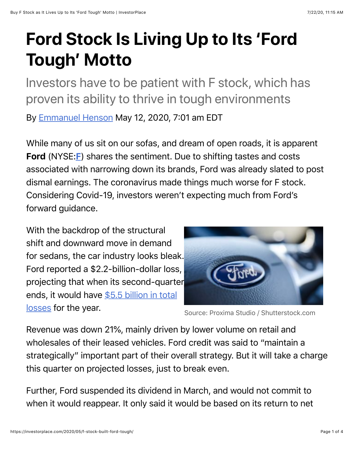# **Ford Stock Is Living Up to Its 'Ford Tough' Motto**

Investors have to be patient with F stock, which has proven its ability to thrive in tough environments

By [Emmanuel Henson](https://investorplace.com/author/ehenson/) May 12, 2020, 7:01 am EDT

While many of us sit on our sofas, and dream of open roads, it is apparent Ford (NYSE:[F](https://investorplace.com/stock-quotes/f-stock-quote/)) shares the sentiment. Due to shifting tastes and costs associated with narrowing down its brands, Ford was already slated to post dismal earnings. The coronavirus made things much worse for F stock. Considering Covid-19, investors weren't expecting much from Ford's forward guidance.

With the backdrop of the structural shift and downward move in demand for sedans, the car industry looks bleak. Ford reported a \$2.2-billion-dollar loss, projecting that when its second-quarter [ends, it would have \\$5.5 billion in total](https://www.cnbc.com/2020/04/28/ford-f-earnings-q1-2020.html) losses for the year.



Source: Proxima Studio / Shutterstock.com

Revenue was down 21%, mainly driven by lower volume on retail and wholesales of their leased vehicles. Ford credit was said to "maintain a strategically" important part of their overall strategy. But it will take a charge this quarter on projected losses, just to break even.

Further, Ford suspended its dividend in March, and would not commit to when it would reappear. It only said it would be based on its return to net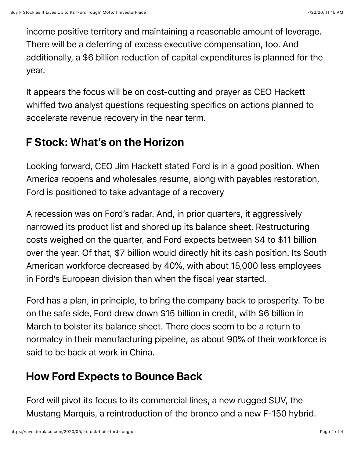income positive territory and maintaining a reasonable amount of leverage. There will be a deferring of excess executive compensation, too. And additionally, a \$6 billion reduction of capital expenditures is planned for the year.

It appears the focus will be on cost-cutting and prayer as CEO Hackett whiffed two analyst questions requesting specifics on actions planned to accelerate revenue recovery in the near term.

### **F Stock: What's on the Horizon**

Looking forward, CEO Jim Hackett stated Ford is in a good position. When America reopens and wholesales resume, along with payables restoration, Ford is positioned to take advantage of a recovery

A recession was on Ford's radar. And, in prior quarters, it aggressively narrowed its product list and shored up its balance sheet. Restructuring costs weighed on the quarter, and Ford expects between \$4 to \$11 billion over the year. Of that, \$7 billion would directly hit its cash position. Its South American workforce decreased by 40%, with about 15,000 less employees in Ford's European division than when the fiscal year started.

Ford has a plan, in principle, to bring the company back to prosperity. To be on the safe side, Ford drew down \$15 billion in credit, with \$6 billion in March to bolster its balance sheet. There does seem to be a return to normalcy in their manufacturing pipeline, as about 90% of their workforce is said to be back at work in China.

### **How Ford Expects to Bounce Back**

Ford will pivot its focus to its commercial lines, a new rugged SUV, the Mustang Marquis, a reintroduction of the bronco and a new F-150 hybrid.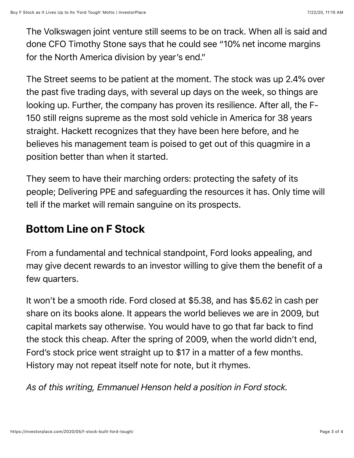The Volkswagen joint venture still seems to be on track. When all is said and done CFO Timothy Stone says that he could see "10% net income margins for the North America division by year's end."

The Street seems to be patient at the moment. The stock was up 2.4% over the past five trading days, with several up days on the week, so things are looking up. Further, the company has proven its resilience. After all, the F-150 still reigns supreme as the most sold vehicle in America for 38 years straight. Hackett recognizes that they have been here before, and he believes his management team is poised to get out of this quagmire in a position better than when it started.

They seem to have their marching orders: protecting the safety of its people; Delivering PPE and safeguarding the resources it has. Only time will tell if the market will remain sanguine on its prospects.

## **Bottom Line on F Stock**

From a fundamental and technical standpoint, Ford looks appealing, and may give decent rewards to an investor willing to give them the benefit of a few quarters.

It won't be a smooth ride. Ford closed at \$5.38, and has \$5.62 in cash per share on its books alone. It appears the world believes we are in 2009, but capital markets say otherwise. You would have to go that far back to find the stock this cheap. After the spring of 2009, when the world didn't end, Ford's stock price went straight up to \$17 in a matter of a few months. History may not repeat itself note for note, but it rhymes.

*As of this writing, Emmanuel Henson held a position in Ford stock.*